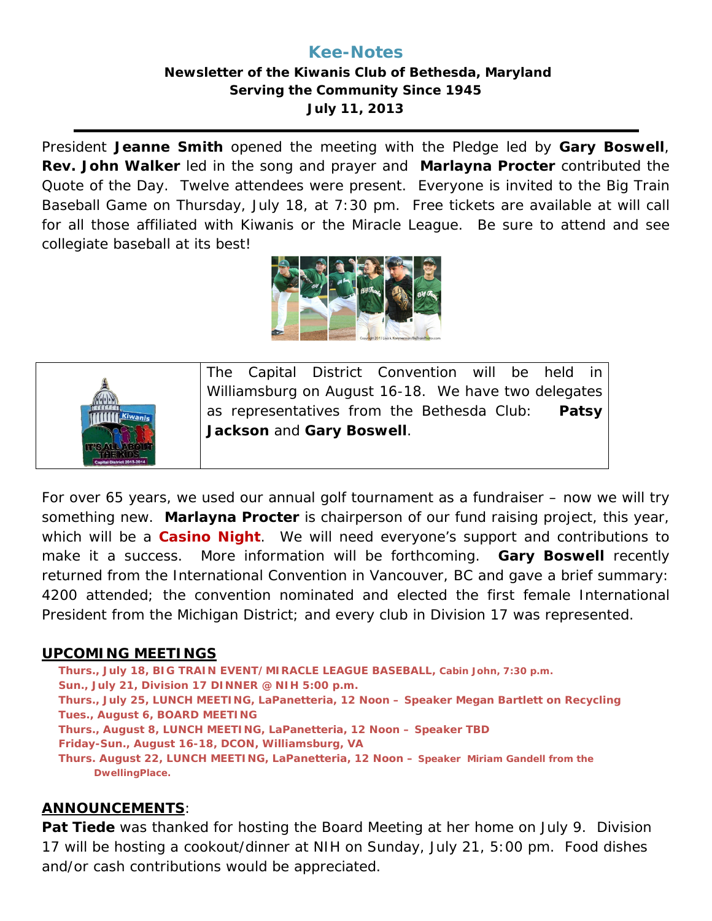# **Kee-Notes**

## **Newsletter of the Kiwanis Club of Bethesda, Maryland Serving the Community Since 1945 July 11, 2013**

President **Jeanne Smith** opened the meeting with the Pledge led by **Gary Boswell**, **Rev. John Walker** led in the song and prayer and **Marlayna Procter** contributed the Quote of the Day. Twelve attendees were present. Everyone is invited to the Big Train Baseball Game on Thursday, July 18, at 7:30 pm. Free tickets are available at will call for all those affiliated with Kiwanis or the Miracle League. Be sure to attend and see collegiate baseball at its best!





For over 65 years, we used our annual golf tournament as a fundraiser – now we will try something new. **Marlayna Procter** is chairperson of our fund raising project, this year, which will be a **Casino Night**. We will need everyone's support and contributions to make it a success. More information will be forthcoming. **Gary Boswell** recently returned from the International Convention in Vancouver, BC and gave a brief summary: 4200 attended; the convention nominated and elected the first female International President from the Michigan District; and every club in Division 17 was represented.

#### **UPCOMING MEETINGS**

**Thurs., July 18, BIG TRAIN EVENT/MIRACLE LEAGUE BASEBALL, Cabin John, 7:30 p.m. Sun., July 21, Division 17 DINNER @ NIH 5:00 p.m. Thurs., July 25, LUNCH MEETING, LaPanetteria, 12 Noon – Speaker Megan Bartlett on Recycling Tues., August 6, BOARD MEETING Thurs., August 8, LUNCH MEETING, LaPanetteria, 12 Noon – Speaker TBD Friday-Sun., August 16-18, DCON, Williamsburg, VA Thurs. August 22, LUNCH MEETING, LaPanetteria, 12 Noon – Speaker Miriam Gandell from the DwellingPlace.**

## **ANNOUNCEMENTS**:

**Pat Tiede** was thanked for hosting the Board Meeting at her home on July 9. Division 17 will be hosting a cookout/dinner at NIH on Sunday, July 21, 5:00 pm. Food dishes and/or cash contributions would be appreciated.